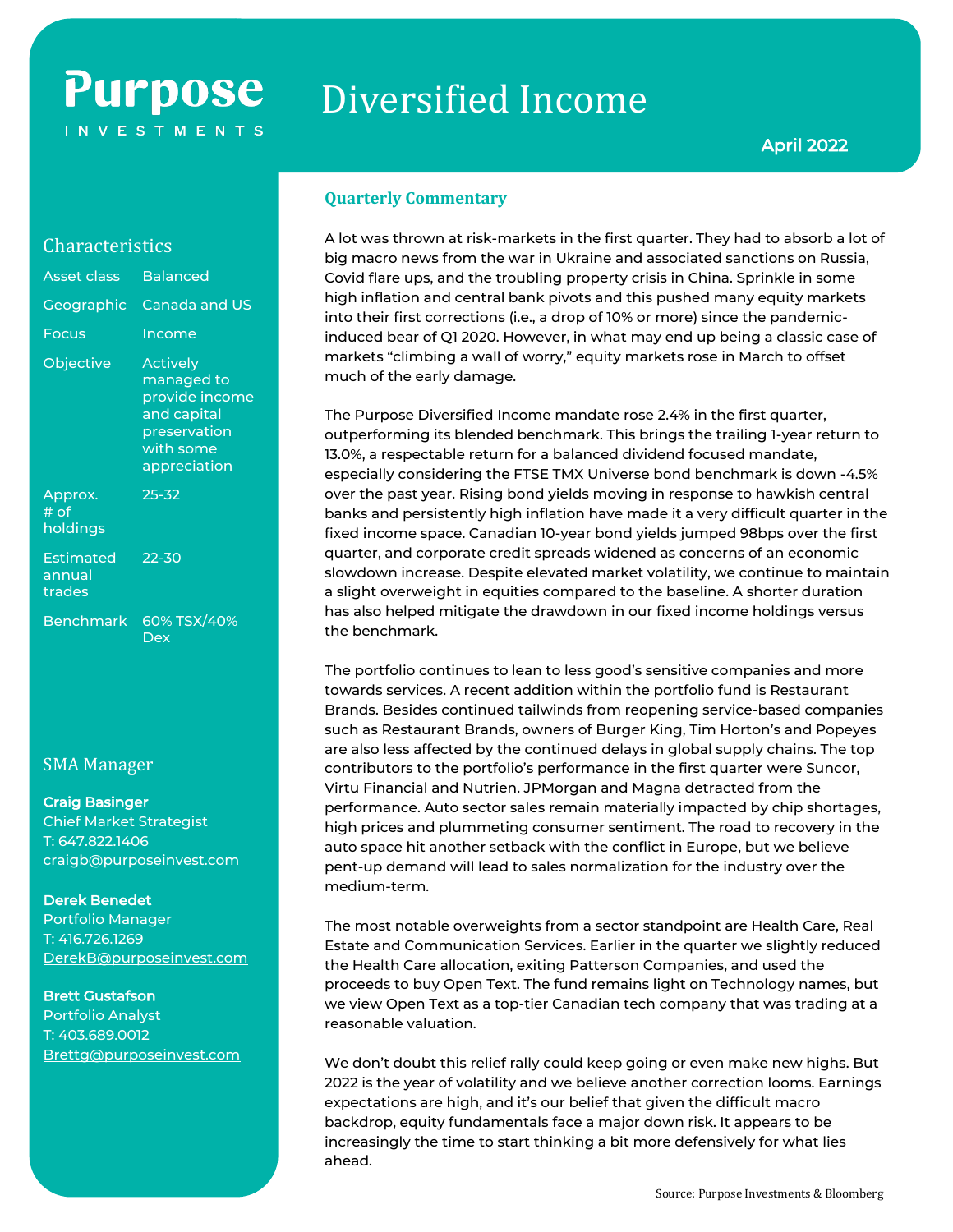## **Purpose INVESTMENTS**

# Diversified Income

#### **Quarterly Commentary**

A lot was thrown at risk-markets in the first quarter. They had to absorb a lot of big macro news from the war in Ukraine and associated sanctions on Russia, Covid flare ups, and the troubling property crisis in China. Sprinkle in some high inflation and central bank pivots and this pushed many equity markets into their first corrections (i.e., a drop of 10% or more) since the pandemicinduced bear of Q1 2020. However, in what may end up being a classic case of markets "climbing a wall of worry," equity markets rose in March to offset much of the early damage.

The Purpose Diversified Income mandate rose 2.4% in the first quarter, outperforming its blended benchmark. This brings the trailing 1-year return to 13.0%, a respectable return for a balanced dividend focused mandate, especially considering the FTSE TMX Universe bond benchmark is down -4.5% over the past year. Rising bond yields moving in response to hawkish central banks and persistently high inflation have made it a very difficult quarter in the fixed income space. Canadian 10-year bond yields jumped 98bps over the first quarter, and corporate credit spreads widened as concerns of an economic slowdown increase. Despite elevated market volatility, we continue to maintain a slight overweight in equities compared to the baseline. A shorter duration has also helped mitigate the drawdown in our fixed income holdings versus the benchmark.

The portfolio continues to lean to less good's sensitive companies and more towards services. A recent addition within the portfolio fund is Restaurant Brands. Besides continued tailwinds from reopening service-based companies such as Restaurant Brands, owners of Burger King, Tim Horton's and Popeyes are also less affected by the continued delays in global supply chains. The top contributors to the portfolio's performance in the first quarter were Suncor, Virtu Financial and Nutrien. JPMorgan and Magna detracted from the performance. Auto sector sales remain materially impacted by chip shortages, high prices and plummeting consumer sentiment. The road to recovery in the auto space hit another setback with the conflict in Europe, but we believe pent-up demand will lead to sales normalization for the industry over the medium-term.

The most notable overweights from a sector standpoint are Health Care, Real Estate and Communication Services. Earlier in the quarter we slightly reduced the Health Care allocation, exiting Patterson Companies, and used the proceeds to buy Open Text. The fund remains light on Technology names, but we view Open Text as a top-tier Canadian tech company that was trading at a reasonable valuation.

We don't doubt this relief rally could keep going or even make new highs. But 2022 is the year of volatility and we believe another correction looms. Earnings expectations are high, and it's our belief that given the difficult macro backdrop, equity fundamentals face a major down risk. It appears to be increasingly the time to start thinking a bit more defensively for what lies ahead.

### **Characteristics**

| Asset class                          | <b>Balanced</b>                                                                                             |
|--------------------------------------|-------------------------------------------------------------------------------------------------------------|
|                                      | Geographic Canada and US                                                                                    |
| Focus                                | Income                                                                                                      |
| Objective                            | <b>Actively</b><br>managed to<br>provide income<br>and capital<br>preservation<br>with some<br>appreciation |
| Approx.<br># of<br>holdings          | $25 - 32$                                                                                                   |
| <b>Estimated</b><br>annual<br>trades | 22-30                                                                                                       |
| <b>Benchmark</b>                     | 60% TSX/40%<br>Dex                                                                                          |

### SMA Manager

#### Craig Basinger

Chief Market Strategist T: 647.822.1406 [craigb@purposeinvest.com](mailto:craigb@purposeinvest.com)

#### Derek Benedet

Portfolio Manager T: 416.726.1269 [DerekB@purposeinvest.com](mailto:DerekB@purposeinvest.com)

#### Brett Gustafson

Portfolio Analyst T: 403.689.0012 [Brettg@purposeinvest.com](mailto:Brettg@purposeinvest.com)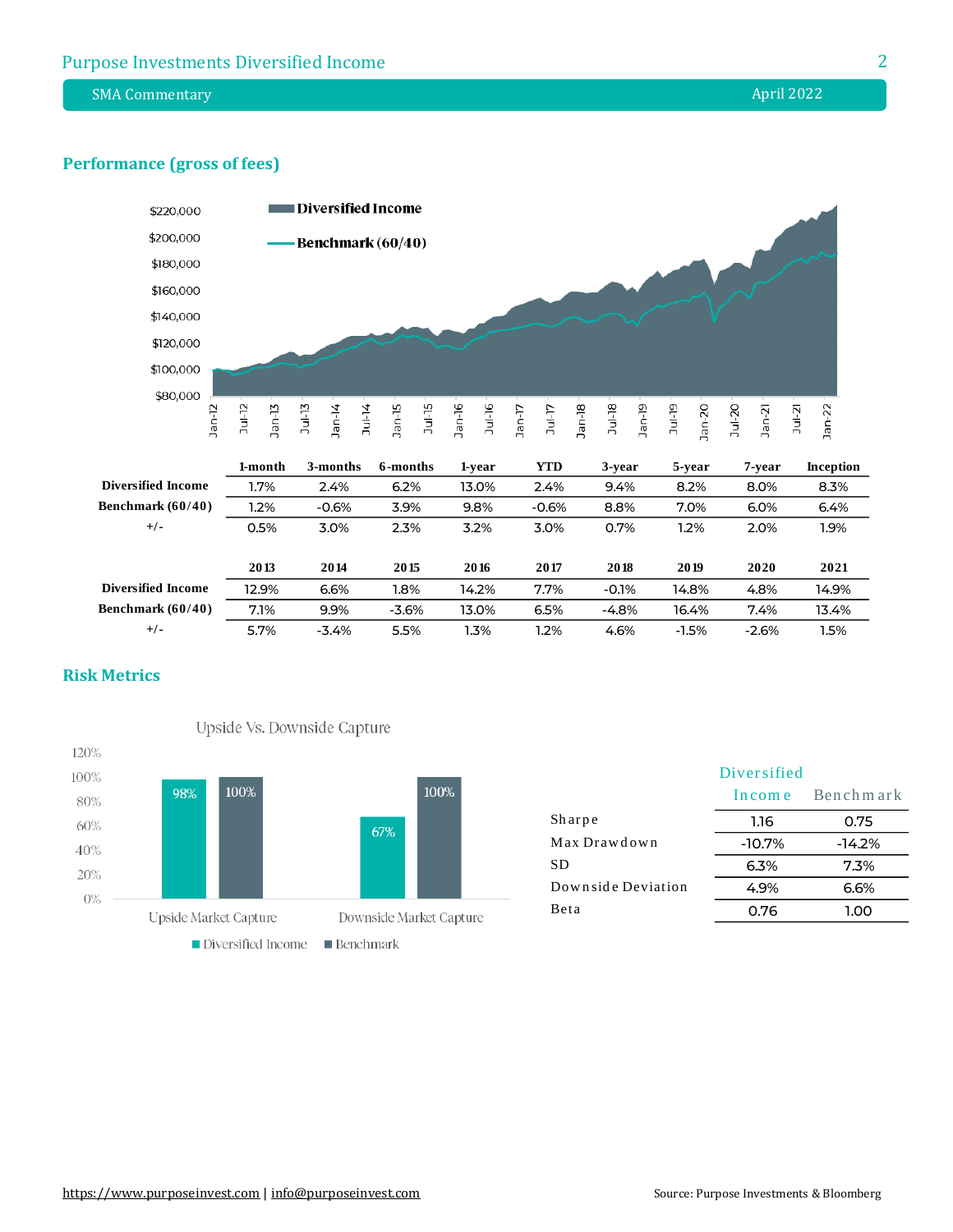SMA Commentary **April 2022** 

#### **Performance (gross of fees)**



#### **Risk Metrics**



|                    | Diversified |           |
|--------------------|-------------|-----------|
|                    | Income      | Benchmark |
| Sharpe             | 1.16        | 0.75      |
| Max Drawdown       | $-10.7\%$   | $-14.2%$  |
| <b>SD</b>          | 6.3%        | 7.3%      |
| Downside Deviation | 4.9%        | 6.6%      |
| Beta               | 0.76        | 1.00      |